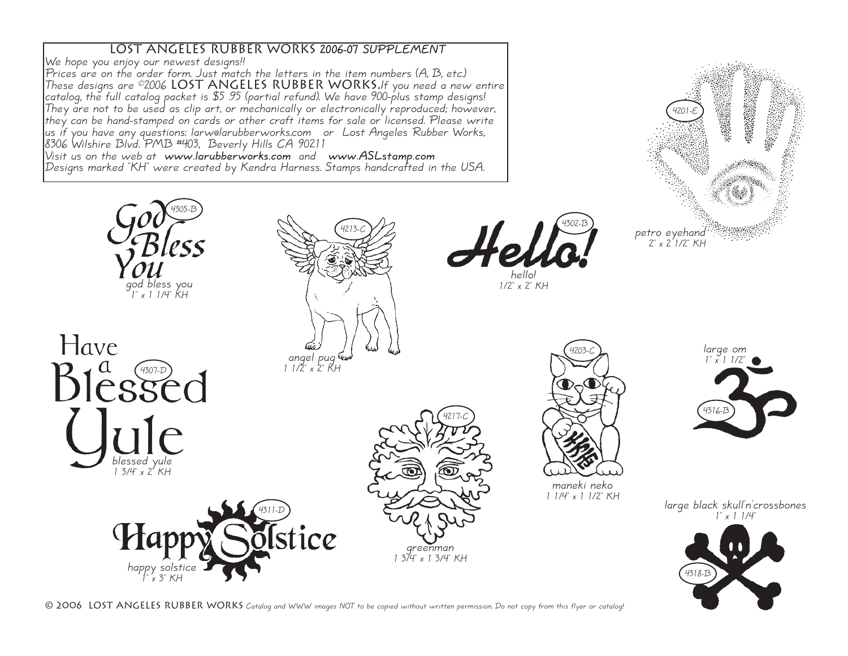

© 2006 LOST ANGELES RUBBER WORKS Catalog and WWW images NOT to be copied without written permission. Do not copy from this flyer or catalog!